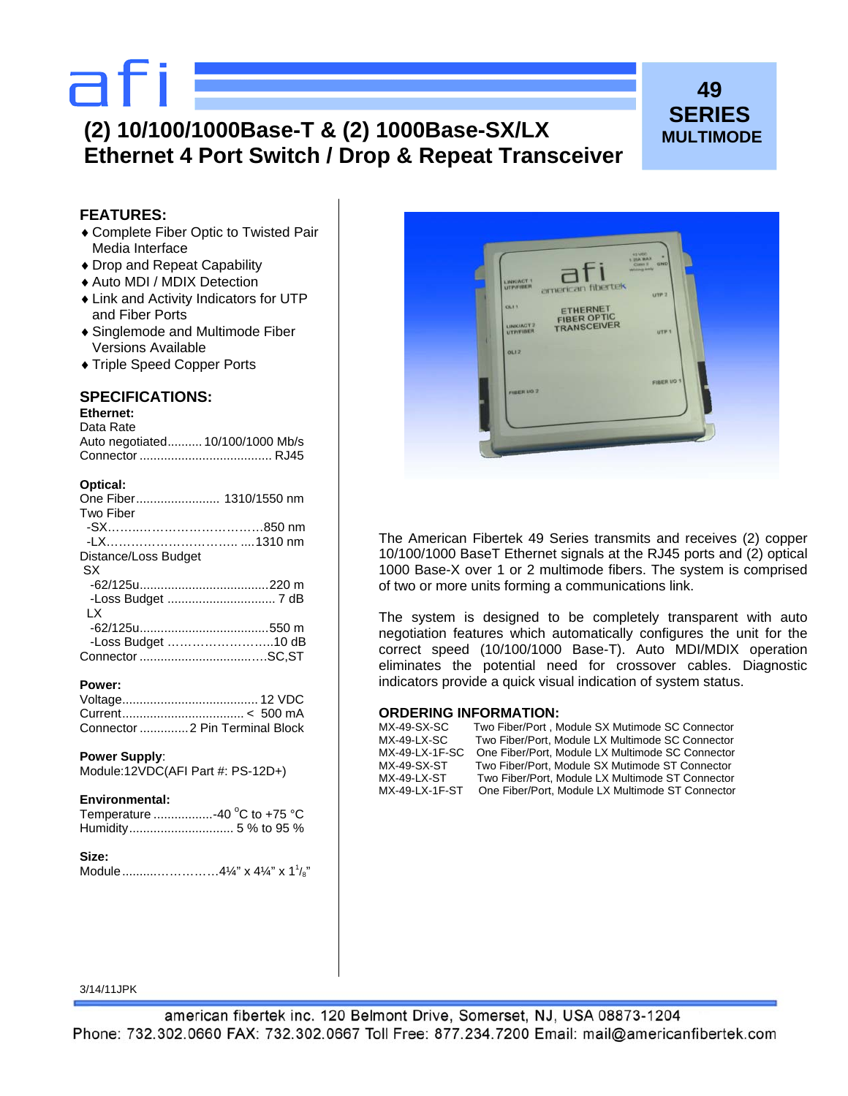# afi

# **(2) 10/100/1000Base-T & (2) 1000Base-SX/LX Ethernet 4 Port Switch / Drop & Repeat Transceiver**

# **49 SERIES MULTIMODE**

# **FEATURES:**

- ♦ Complete Fiber Optic to Twisted Pair Media Interface
- ♦ Drop and Repeat Capability
- ♦ Auto MDI / MDIX Detection
- ♦ Link and Activity Indicators for UTP and Fiber Ports
- ♦ Singlemode and Multimode Fiber Versions Available
- ♦ Triple Speed Copper Ports

# **SPECIFICATIONS:**

# **Ethernet:**

| Data Rate       |                    |
|-----------------|--------------------|
| hetaitonen otuA | $10/100/1000$ Mb/s |

| Auto regonated TO/TOO/TOOO MD/S |  |
|---------------------------------|--|
|                                 |  |

## **Optical:**

| One Fiber 1310/1550 nm |  |
|------------------------|--|
| Two Fiber              |  |
|                        |  |
|                        |  |
| Distance/Loss Budget   |  |
| <b>SX</b>              |  |
|                        |  |
|                        |  |
| LX                     |  |
|                        |  |
| -Loss Budget 10 dB     |  |
|                        |  |

## **Power:**

| Connector  2 Pin Terminal Block |  |
|---------------------------------|--|

#### **Power Supply**:

```
Module:12VDC(AFI Part #: PS-12D+)
```
#### **Environmental:**

| Temperature -40 °C to +75 °C |  |  |
|------------------------------|--|--|
|                              |  |  |

## **Size:**  Module............................4¼" x 4¼" x 1<sup>1</sup>/<sub>8</sub>"



The American Fibertek 49 Series transmits and receives (2) copper 10/100/1000 BaseT Ethernet signals at the RJ45 ports and (2) optical 1000 Base-X over 1 or 2 multimode fibers. The system is comprised of two or more units forming a communications link.

The system is designed to be completely transparent with auto negotiation features which automatically configures the unit for the correct speed (10/100/1000 Base-T). Auto MDI/MDIX operation eliminates the potential need for crossover cables. Diagnostic indicators provide a quick visual indication of system status.

#### **ORDERING INFORMATION:**

| MX-49-SX-SC    | Two Fiber/Port, Module SX Mutimode SC Connector  |
|----------------|--------------------------------------------------|
| MX-49-LX-SC    | Two Fiber/Port, Module LX Multimode SC Connector |
| MX-49-LX-1F-SC | One Fiber/Port, Module LX Multimode SC Connector |
| MX-49-SX-ST    | Two Fiber/Port, Module SX Mutimode ST Connector  |
| MX-49-LX-ST    | Two Fiber/Port. Module LX Multimode ST Connector |
| MX-49-LX-1F-ST | One Fiber/Port, Module LX Multimode ST Connector |
|                |                                                  |

#### 3/14/11JPK